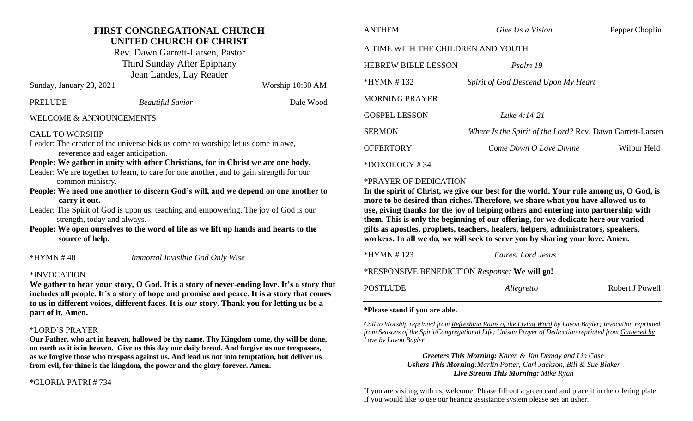### **FIRST CONGREGATIONAL CHURCH UNITED CHURCH OF CHRIST**

Rev. Dawn Garrett-Larsen, Pastor Third Sunday After Epiphany Jean Landes, Lay Reader

| PRELUDE | <b>Beautiful Savior</b> | Dale Wood |
|---------|-------------------------|-----------|

Sunday, January 23, 2021 Worship 10:30 AM

### WELCOME & ANNOUNCEMENTS

### CALL TO WORSHIP

- Leader: The creator of the universe bids us come to worship; let us come in awe, reverence and eager anticipation.
- **People: We gather in unity with other Christians, for in Christ we are one body.** Leader: We are together to learn, to care for one another, and to gain strength for our common ministry.
- **People: We need one another to discern God's will, and we depend on one another to carry it out.**
- Leader: The Spirit of God is upon us, teaching and empowering. The joy of God is our strength, today and always.
- **People: We open ourselves to the word of life as we lift up hands and hearts to the source of help.**

\*HYMN # 48 *Immortal Invisible God Only Wise*

### \*INVOCATION

We gather to hear your story, O God. It is a story of never-ending love. It's a story that **includes all people. It's a story of hope and promise and peace. It is a story that comes to us in different voices, different faces. It is** *our* **story. Thank you for letting us be a part of it. Amen.** 

### \*LORD'S PRAYER

**Our Father, who art in heaven, hallowed be thy name. Thy Kingdom come, thy will be done, on earth as it is in heaven. Give us this day our daily bread. And forgive us our trespasses, as we forgive those who trespass against us. And lead us not into temptation, but deliver us from evil, for thine is the kingdom, the power and the glory forever. Amen.**

### \*GLORIA PATRI # 734

| <b>ANTHEM</b>                      | Give Us a Vision                                          | Pepper Choplin |  |  |  |
|------------------------------------|-----------------------------------------------------------|----------------|--|--|--|
| A TIME WITH THE CHILDREN AND YOUTH |                                                           |                |  |  |  |
| <b>HEBREW BIBLE LESSON</b>         | Psalm 19                                                  |                |  |  |  |
| $*HYMN # 132$                      | Spirit of God Descend Upon My Heart                       |                |  |  |  |
| <b>MORNING PRAYER</b>              |                                                           |                |  |  |  |
| <b>GOSPEL LESSON</b>               | Luke 4:14-21                                              |                |  |  |  |
| <b>SERMON</b>                      | Where Is the Spirit of the Lord? Rev. Dawn Garrett-Larsen |                |  |  |  |
| <b>OFFERTORY</b>                   | Come Down O Love Divine                                   | Wilbur Held    |  |  |  |
| $*$ DOXOLOGY #34                   |                                                           |                |  |  |  |

### \*PRAYER OF DEDICATION

**In the spirit of Christ, we give our best for the world. Your rule among us, O God, is more to be desired than riches. Therefore, we share what you have allowed us to use, giving thanks for the joy of helping others and entering into partnership with them. This is only the beginning of our offering, for we dedicate here our varied gifts as apostles, prophets, teachers, healers, helpers, administrators, speakers, workers. In all we do, we will seek to serve you by sharing your love. Amen.**

## \*HYMN # 123 *Fairest Lord Jesus* \*RESPONSIVE BENEDICTION *Response:* **We will go!**

| POSTLUDE | Allegretto | Robert J Powell |
|----------|------------|-----------------|
|----------|------------|-----------------|

### **\*Please stand if you are able.**

*Call to Worship reprinted from Refreshing Rains of the Living Word by Lavon Bayler; Invocation reprinted from Seasons of the Spirit/Congregational Life; Unison Prayer of Dedication reprinted from Gathered by Love by Lavon Bayler*

> *Greeters This Morning: Karen & Jim Demay and Lin Case Ushers This Morning:Marlin Potter, Carl Jackson, Bill & Sue Blaker Live Stream This Morning: Mike Ryan*

If you are visiting with us, welcome! Please fill out a green card and place it in the offering plate. If you would like to use our hearing assistance system please see an usher.